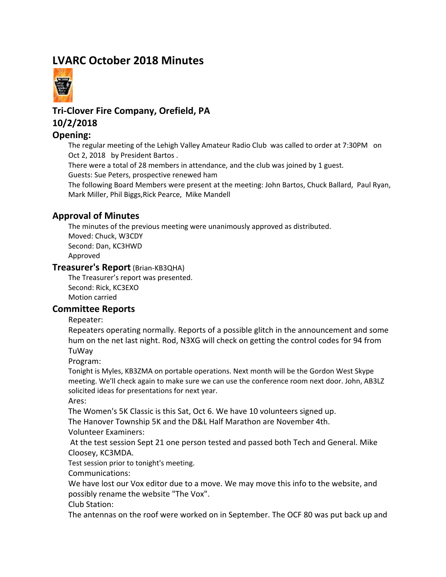# **LVARC October 2018 Minutes**



## **Tri-Clover Fire Company, Orefield, PA 10/2/2018**

#### **Opening:**

The regular meeting of the Lehigh Valley Amateur Radio Club was called to order at 7:30PM on Oct 2, 2018 by President Bartos .

There were a total of 28 members in attendance, and the club was joined by 1 guest. Guests: Sue Peters, prospective renewed ham

The following Board Members were present at the meeting: John Bartos, Chuck Ballard, Paul Ryan, Mark Miller, Phil Biggs,Rick Pearce, Mike Mandell

#### **Approval of Minutes**

The minutes of the previous meeting were unanimously approved as distributed. Moved: Chuck, W3CDY Second: Dan, KC3HWD Approved

#### **Treasurer's Report** (Brian-KB3QHA)

The Treasurer's report was presented. Second: Rick, KC3EXO Motion carried

#### **Committee Reports**

Repeater:

Repeaters operating normally. Reports of a possible glitch in the announcement and some hum on the net last night. Rod, N3XG will check on getting the control codes for 94 from TuWay

Program:

Tonight is Myles, KB3ZMA on portable operations. Next month will be the Gordon West Skype meeting. We'll check again to make sure we can use the conference room next door. John, AB3LZ solicited ideas for presentations for next year.

Ares:

The Women's 5K Classic is this Sat, Oct 6. We have 10 volunteers signed up.

The Hanover Township 5K and the D&L Half Marathon are November 4th.

Volunteer Examiners:

 At the test session Sept 21 one person tested and passed both Tech and General. Mike Cloosey, KC3MDA.

Test session prior to tonight's meeting.

Communications:

We have lost our Vox editor due to a move. We may move this info to the website, and possibly rename the website "The Vox".

Club Station:

The antennas on the roof were worked on in September. The OCF 80 was put back up and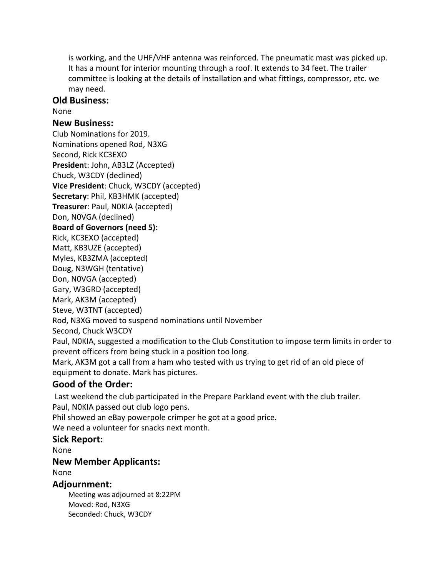is working, and the UHF/VHF antenna was reinforced. The pneumatic mast was picked up. It has a mount for interior mounting through a roof. It extends to 34 feet. The trailer committee is looking at the details of installation and what fittings, compressor, etc. we may need.

#### **Old Business:**

None

#### **New Business:**

Club Nominations for 2019. Nominations opened Rod, N3XG Second, Rick KC3EXO **Presiden**t: John, AB3LZ (Accepted) Chuck, W3CDY (declined) **Vice President**: Chuck, W3CDY (accepted) **Secretary**: Phil, KB3HMK (accepted) **Treasurer**: Paul, N0KIA (accepted) Don, N0VGA (declined) **Board of Governors (need 5):** Rick, KC3EXO (accepted) Matt, KB3UZE (accepted) Myles, KB3ZMA (accepted) Doug, N3WGH (tentative) Don, N0VGA (accepted) Gary, W3GRD (accepted) Mark, AK3M (accepted) Steve, W3TNT (accepted) Rod, N3XG moved to suspend nominations until November Second, Chuck W3CDY Paul, N0KIA, suggested a modification to the Club Constitution to impose term limits in order to prevent officers from being stuck in a position too long. Mark, AK3M got a call from a ham who tested with us trying to get rid of an old piece of

equipment to donate. Mark has pictures.

## **Good of the Order:**

Last weekend the club participated in the Prepare Parkland event with the club trailer. Paul, N0KIA passed out club logo pens.

Phil showed an eBay powerpole crimper he got at a good price.

We need a volunteer for snacks next month.

### **Sick Report:**

None

### **New Member Applicants:**

None

#### **Adjournment:**

Meeting was adjourned at 8:22PM Moved: Rod, N3XG Seconded: Chuck, W3CDY